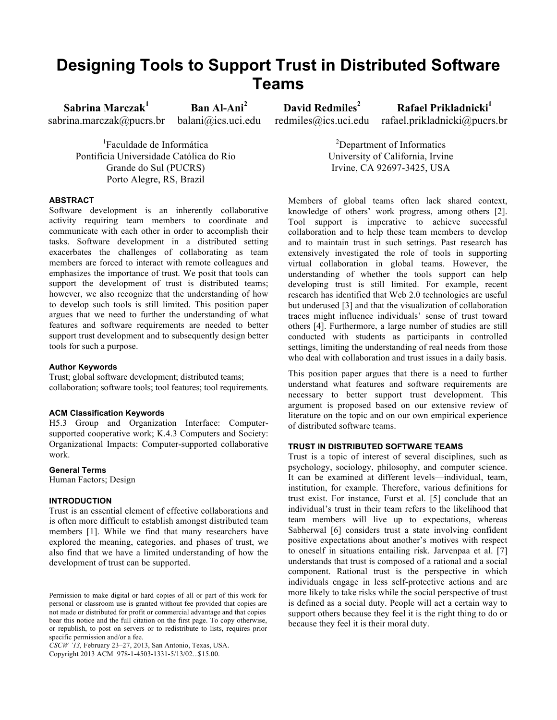# **Designing Tools to Support Trust in Distributed Software Teams**

**Sabrina Marczak1** sabrina.marczak@pucrs.br **Ban Al-Ani<sup>2</sup>**

balani@ics.uci.edu

**David Redmiles<sup>2</sup>** redmiles@ics.uci.edu

**Rafael Prikladnicki**<sup>1</sup> rafael.prikladnicki@pucrs.br

1 Faculdade de Informática Pontifícia Universidade Católica do Rio Grande do Sul (PUCRS) Porto Alegre, RS, Brazil

## **ABSTRACT**

Software development is an inherently collaborative activity requiring team members to coordinate and communicate with each other in order to accomplish their tasks. Software development in a distributed setting exacerbates the challenges of collaborating as team members are forced to interact with remote colleagues and emphasizes the importance of trust. We posit that tools can support the development of trust is distributed teams; however, we also recognize that the understanding of how to develop such tools is still limited. This position paper argues that we need to further the understanding of what features and software requirements are needed to better support trust development and to subsequently design better tools for such a purpose.

#### **Author Keywords**

Trust; global software development; distributed teams; collaboration; software tools; tool features; tool requirements.

#### **ACM Classification Keywords**

H5.3 Group and Organization Interface: Computersupported cooperative work; K.4.3 Computers and Society: Organizational Impacts: Computer-supported collaborative work.

#### **General Terms**

Human Factors; Design

## **INTRODUCTION**

Trust is an essential element of effective collaborations and is often more difficult to establish amongst distributed team members [1]. While we find that many researchers have explored the meaning, categories, and phases of trust, we also find that we have a limited understanding of how the development of trust can be supported.

*CSCW '13,* February 23–27, 2013, San Antonio, Texas, USA. Copyright 2013 ACM 978-1-4503-1331-5/13/02...\$15.00.

<sup>2</sup>Department of Informatics University of California, Irvine Irvine, CA 92697-3425, USA

Members of global teams often lack shared context, knowledge of others' work progress, among others [2]. Tool support is imperative to achieve successful collaboration and to help these team members to develop and to maintain trust in such settings. Past research has extensively investigated the role of tools in supporting virtual collaboration in global teams. However, the understanding of whether the tools support can help developing trust is still limited. For example, recent research has identified that Web 2.0 technologies are useful but underused [3] and that the visualization of collaboration traces might influence individuals' sense of trust toward others [4]. Furthermore, a large number of studies are still conducted with students as participants in controlled settings, limiting the understanding of real needs from those who deal with collaboration and trust issues in a daily basis.

This position paper argues that there is a need to further understand what features and software requirements are necessary to better support trust development. This argument is proposed based on our extensive review of literature on the topic and on our own empirical experience of distributed software teams.

## **TRUST IN DISTRIBUTED SOFTWARE TEAMS**

Trust is a topic of interest of several disciplines, such as psychology, sociology, philosophy, and computer science. It can be examined at different levels—individual, team, institution, for example. Therefore, various definitions for trust exist. For instance, Furst et al. [5] conclude that an individual's trust in their team refers to the likelihood that team members will live up to expectations, whereas Sabherwal [6] considers trust a state involving confident positive expectations about another's motives with respect to oneself in situations entailing risk. Jarvenpaa et al. [7] understands that trust is composed of a rational and a social component. Rational trust is the perspective in which individuals engage in less self-protective actions and are more likely to take risks while the social perspective of trust is defined as a social duty. People will act a certain way to support others because they feel it is the right thing to do or because they feel it is their moral duty.

Permission to make digital or hard copies of all or part of this work for personal or classroom use is granted without fee provided that copies are not made or distributed for profit or commercial advantage and that copies bear this notice and the full citation on the first page. To copy otherwise, or republish, to post on servers or to redistribute to lists, requires prior specific permission and/or a fee.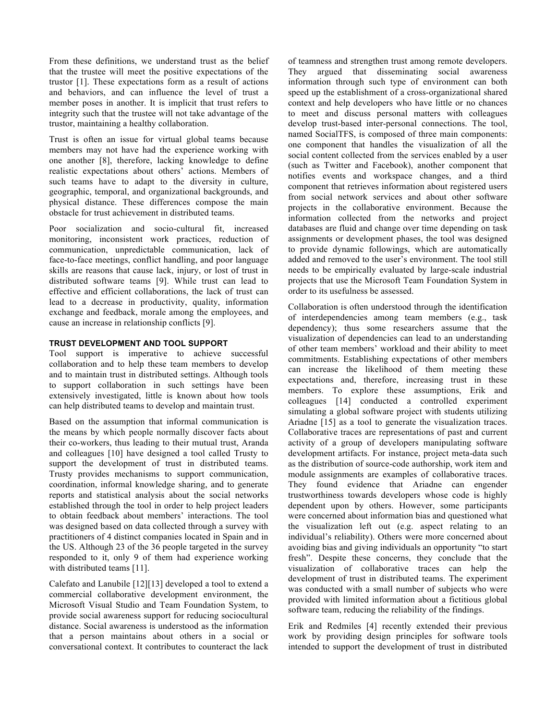From these definitions, we understand trust as the belief that the trustee will meet the positive expectations of the trustor [1]. These expectations form as a result of actions and behaviors, and can influence the level of trust a member poses in another. It is implicit that trust refers to integrity such that the trustee will not take advantage of the trustor, maintaining a healthy collaboration.

Trust is often an issue for virtual global teams because members may not have had the experience working with one another [8], therefore, lacking knowledge to define realistic expectations about others' actions. Members of such teams have to adapt to the diversity in culture, geographic, temporal, and organizational backgrounds, and physical distance. These differences compose the main obstacle for trust achievement in distributed teams.

Poor socialization and socio-cultural fit, increased monitoring, inconsistent work practices, reduction of communication, unpredictable communication, lack of face-to-face meetings, conflict handling, and poor language skills are reasons that cause lack, injury, or lost of trust in distributed software teams [9]. While trust can lead to effective and efficient collaborations, the lack of trust can lead to a decrease in productivity, quality, information exchange and feedback, morale among the employees, and cause an increase in relationship conflicts [9].

## **TRUST DEVELOPMENT AND TOOL SUPPORT**

Tool support is imperative to achieve successful collaboration and to help these team members to develop and to maintain trust in distributed settings. Although tools to support collaboration in such settings have been extensively investigated, little is known about how tools can help distributed teams to develop and maintain trust.

Based on the assumption that informal communication is the means by which people normally discover facts about their co-workers, thus leading to their mutual trust, Aranda and colleagues [10] have designed a tool called Trusty to support the development of trust in distributed teams. Trusty provides mechanisms to support communication, coordination, informal knowledge sharing, and to generate reports and statistical analysis about the social networks established through the tool in order to help project leaders to obtain feedback about members' interactions. The tool was designed based on data collected through a survey with practitioners of 4 distinct companies located in Spain and in the US. Although 23 of the 36 people targeted in the survey responded to it, only 9 of them had experience working with distributed teams [11].

Calefato and Lanubile [12][13] developed a tool to extend a commercial collaborative development environment, the Microsoft Visual Studio and Team Foundation System, to provide social awareness support for reducing sociocultural distance. Social awareness is understood as the information that a person maintains about others in a social or conversational context. It contributes to counteract the lack

of teamness and strengthen trust among remote developers. They argued that disseminating social awareness information through such type of environment can both speed up the establishment of a cross-organizational shared context and help developers who have little or no chances to meet and discuss personal matters with colleagues develop trust-based inter-personal connections. The tool, named SocialTFS, is composed of three main components: one component that handles the visualization of all the social content collected from the services enabled by a user (such as Twitter and Facebook), another component that notifies events and workspace changes, and a third component that retrieves information about registered users from social network services and about other software projects in the collaborative environment. Because the information collected from the networks and project databases are fluid and change over time depending on task assignments or development phases, the tool was designed to provide dynamic followings, which are automatically added and removed to the user's environment. The tool still needs to be empirically evaluated by large-scale industrial projects that use the Microsoft Team Foundation System in order to its usefulness be assessed.

Collaboration is often understood through the identification of interdependencies among team members (e.g., task dependency); thus some researchers assume that the visualization of dependencies can lead to an understanding of other team members' workload and their ability to meet commitments. Establishing expectations of other members can increase the likelihood of them meeting these expectations and, therefore, increasing trust in these members. To explore these assumptions, Erik and colleagues [14] conducted a controlled experiment simulating a global software project with students utilizing Ariadne [15] as a tool to generate the visualization traces. Collaborative traces are representations of past and current activity of a group of developers manipulating software development artifacts. For instance, project meta-data such as the distribution of source-code authorship, work item and module assignments are examples of collaborative traces. They found evidence that Ariadne can engender trustworthiness towards developers whose code is highly dependent upon by others. However, some participants were concerned about information bias and questioned what the visualization left out (e.g. aspect relating to an individual's reliability). Others were more concerned about avoiding bias and giving individuals an opportunity "to start fresh". Despite these concerns, they conclude that the visualization of collaborative traces can help the development of trust in distributed teams. The experiment was conducted with a small number of subjects who were provided with limited information about a fictitious global software team, reducing the reliability of the findings.

Erik and Redmiles [4] recently extended their previous work by providing design principles for software tools intended to support the development of trust in distributed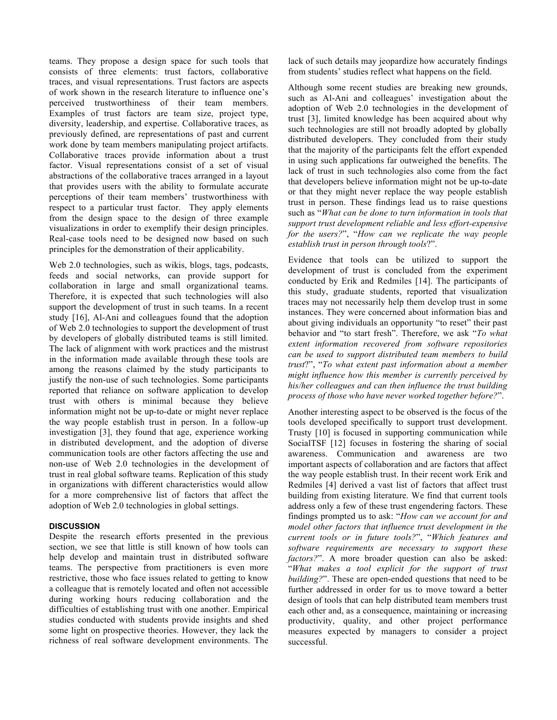teams. They propose a design space for such tools that consists of three elements: trust factors, collaborative traces, and visual representations. Trust factors are aspects of work shown in the research literature to influence one's perceived trustworthiness of their team members. Examples of trust factors are team size, project type, diversity, leadership, and expertise. Collaborative traces, as previously defined, are representations of past and current work done by team members manipulating project artifacts. Collaborative traces provide information about a trust factor. Visual representations consist of a set of visual abstractions of the collaborative traces arranged in a layout that provides users with the ability to formulate accurate perceptions of their team members' trustworthiness with respect to a particular trust factor. They apply elements from the design space to the design of three example visualizations in order to exemplify their design principles. Real-case tools need to be designed now based on such principles for the demonstration of their applicability.

Web 2.0 technologies, such as wikis, blogs, tags, podcasts, feeds and social networks, can provide support for collaboration in large and small organizational teams. Therefore, it is expected that such technologies will also support the development of trust in such teams. In a recent study [16], Al-Ani and colleagues found that the adoption of Web 2.0 technologies to support the development of trust by developers of globally distributed teams is still limited. The lack of alignment with work practices and the mistrust in the information made available through these tools are among the reasons claimed by the study participants to justify the non-use of such technologies. Some participants reported that reliance on software application to develop trust with others is minimal because they believe information might not be up-to-date or might never replace the way people establish trust in person. In a follow-up investigation [3], they found that age, experience working in distributed development, and the adoption of diverse communication tools are other factors affecting the use and non-use of Web 2.0 technologies in the development of trust in real global software teams. Replication of this study in organizations with different characteristics would allow for a more comprehensive list of factors that affect the adoption of Web 2.0 technologies in global settings.

## **DISCUSSION**

Despite the research efforts presented in the previous section, we see that little is still known of how tools can help develop and maintain trust in distributed software teams. The perspective from practitioners is even more restrictive, those who face issues related to getting to know a colleague that is remotely located and often not accessible during working hours reducing collaboration and the difficulties of establishing trust with one another. Empirical studies conducted with students provide insights and shed some light on prospective theories. However, they lack the richness of real software development environments. The

lack of such details may jeopardize how accurately findings from students' studies reflect what happens on the field.

Although some recent studies are breaking new grounds, such as Al-Ani and colleagues' investigation about the adoption of Web 2.0 technologies in the development of trust [3], limited knowledge has been acquired about why such technologies are still not broadly adopted by globally distributed developers. They concluded from their study that the majority of the participants felt the effort expended in using such applications far outweighed the benefits. The lack of trust in such technologies also come from the fact that developers believe information might not be up-to-date or that they might never replace the way people establish trust in person. These findings lead us to raise questions such as "*What can be done to turn information in tools that support trust development reliable and less effort-expensive for the users?*", "*How can we replicate the way people establish trust in person through tools*?".

Evidence that tools can be utilized to support the development of trust is concluded from the experiment conducted by Erik and Redmiles [14]. The participants of this study, graduate students, reported that visualization traces may not necessarily help them develop trust in some instances. They were concerned about information bias and about giving individuals an opportunity "to reset" their past behavior and "to start fresh". Therefore, we ask "*To what extent information recovered from software repositories can be used to support distributed team members to build trust*?", "*To what extent past information about a member might influence how this member is currently perceived by his/her colleagues and can then influence the trust building process of those who have never worked together before?*".

Another interesting aspect to be observed is the focus of the tools developed specifically to support trust development. Trusty [10] is focused in supporting communication while SocialTSF [12] focuses in fostering the sharing of social awareness. Communication and awareness are two important aspects of collaboration and are factors that affect the way people establish trust. In their recent work Erik and Redmiles [4] derived a vast list of factors that affect trust building from existing literature. We find that current tools address only a few of these trust engendering factors. These findings prompted us to ask: "*How can we account for and model other factors that influence trust development in the current tools or in future tools?*", "*Which features and software requirements are necessary to support these factors?*". A more broader question can also be asked: "*What makes a tool explicit for the support of trust building?*". These are open-ended questions that need to be further addressed in order for us to move toward a better design of tools that can help distributed team members trust each other and, as a consequence, maintaining or increasing productivity, quality, and other project performance measures expected by managers to consider a project successful.